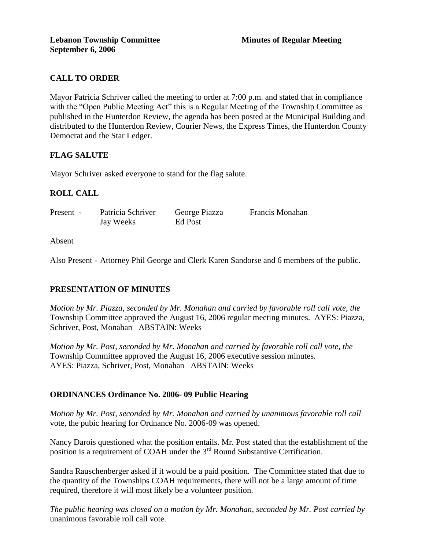## **CALL TO ORDER**

Mayor Patricia Schriver called the meeting to order at 7:00 p.m. and stated that in compliance with the "Open Public Meeting Act" this is a Regular Meeting of the Township Committee as published in the Hunterdon Review, the agenda has been posted at the Municipal Building and distributed to the Hunterdon Review, Courier News, the Express Times, the Hunterdon County Democrat and the Star Ledger.

### **FLAG SALUTE**

Mayor Schriver asked everyone to stand for the flag salute.

### **ROLL CALL**

| Present - | Patricia Schriver | George Piazza | <b>Francis Monahan</b> |
|-----------|-------------------|---------------|------------------------|
|           | Jay Weeks         | Ed Post       |                        |

Absent

Also Present - Attorney Phil George and Clerk Karen Sandorse and 6 members of the public.

#### **PRESENTATION OF MINUTES**

*Motion by Mr. Piazza, seconded by Mr. Monahan and carried by favorable roll call vote, the* Township Committee approved the August 16, 2006 regular meeting minutes. AYES: Piazza, Schriver, Post, Monahan ABSTAIN: Weeks

*Motion by Mr. Post, seconded by Mr. Monahan and carried by favorable roll call vote, the* Township Committee approved the August 16, 2006 executive session minutes. AYES: Piazza, Schriver, Post, Monahan ABSTAIN: Weeks

#### **ORDINANCES Ordinance No. 2006- 09 Public Hearing**

*Motion by Mr. Post, seconded by Mr. Monahan and carried by unanimous favorable roll call*  vote, the pubic hearing for Ordnance No. 2006-09 was opened.

Nancy Darois questioned what the position entails. Mr. Post stated that the establishment of the position is a requirement of COAH under the  $3<sup>rd</sup>$  Round Substantive Certification.

Sandra Rauschenberger asked if it would be a paid position. The Committee stated that due to the quantity of the Townships COAH requirements, there will not be a large amount of time required, therefore it will most likely be a volunteer position.

*The public hearing was closed on a motion by Mr. Monahan, seconded by Mr. Post carried by* unanimous favorable roll call vote.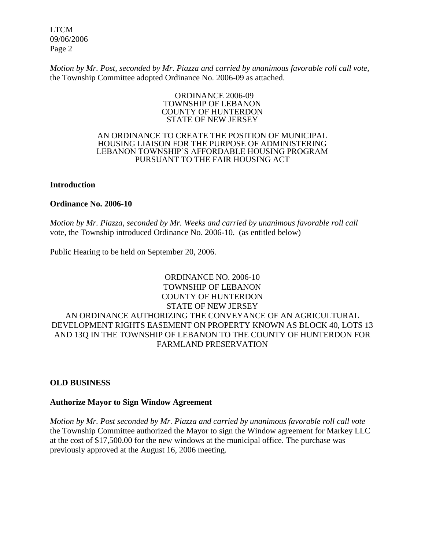LTCM 09/06/2006 Page 2

*Motion by Mr. Post, seconded by Mr. Piazza and carried by unanimous favorable roll call vote,* the Township Committee adopted Ordinance No. 2006-09 as attached.

#### ORDINANCE 2006-09 TOWNSHIP OF LEBANON COUNTY OF HUNTERDON STATE OF NEW JERSEY

#### AN ORDINANCE TO CREATE THE POSITION OF MUNICIPAL HOUSING LIAISON FOR THE PURPOSE OF ADMINISTERING LEBANON TOWNSHIP'S AFFORDABLE HOUSING PROGRAM PURSUANT TO THE FAIR HOUSING ACT

#### **Introduction**

#### **Ordinance No. 2006-10**

*Motion by Mr. Piazza, seconded by Mr. Weeks and carried by unanimous favorable roll call*  vote, the Township introduced Ordinance No. 2006-10. (as entitled below)

Public Hearing to be held on September 20, 2006.

### ORDINANCE NO. 2006-10 TOWNSHIP OF LEBANON COUNTY OF HUNTERDON STATE OF NEW JERSEY AN ORDINANCE AUTHORIZING THE CONVEYANCE OF AN AGRICULTURAL DEVELOPMENT RIGHTS EASEMENT ON PROPERTY KNOWN AS BLOCK 40, LOTS 13 AND 13Q IN THE TOWNSHIP OF LEBANON TO THE COUNTY OF HUNTERDON FOR FARMLAND PRESERVATION

#### **OLD BUSINESS**

#### **Authorize Mayor to Sign Window Agreement**

*Motion by Mr. Post seconded by Mr. Piazza and carried by unanimous favorable roll call vote* the Township Committee authorized the Mayor to sign the Window agreement for Markey LLC at the cost of \$17,500.00 for the new windows at the municipal office. The purchase was previously approved at the August 16, 2006 meeting.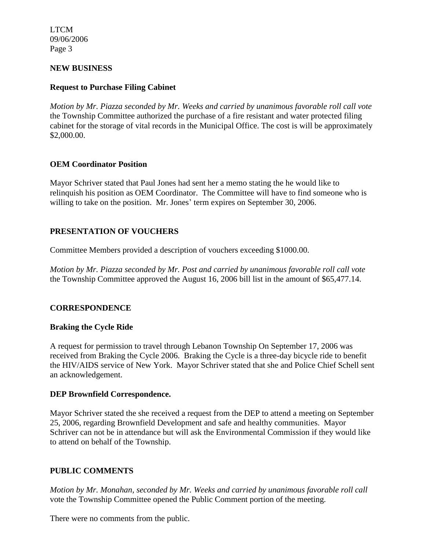LTCM 09/06/2006 Page 3

#### **NEW BUSINESS**

### **Request to Purchase Filing Cabinet**

*Motion by Mr. Piazza seconded by Mr. Weeks and carried by unanimous favorable roll call vote* the Township Committee authorized the purchase of a fire resistant and water protected filing cabinet for the storage of vital records in the Municipal Office. The cost is will be approximately \$2,000.00.

#### **OEM Coordinator Position**

Mayor Schriver stated that Paul Jones had sent her a memo stating the he would like to relinquish his position as OEM Coordinator. The Committee will have to find someone who is willing to take on the position. Mr. Jones' term expires on September 30, 2006.

### **PRESENTATION OF VOUCHERS**

Committee Members provided a description of vouchers exceeding \$1000.00.

*Motion by Mr. Piazza seconded by Mr. Post and carried by unanimous favorable roll call vote* the Township Committee approved the August 16, 2006 bill list in the amount of \$65,477.14.

### **CORRESPONDENCE**

### **Braking the Cycle Ride**

A request for permission to travel through Lebanon Township On September 17, 2006 was received from Braking the Cycle 2006. Braking the Cycle is a three-day bicycle ride to benefit the HIV/AIDS service of New York. Mayor Schriver stated that she and Police Chief Schell sent an acknowledgement.

#### **DEP Brownfield Correspondence.**

Mayor Schriver stated the she received a request from the DEP to attend a meeting on September 25, 2006, regarding Brownfield Development and safe and healthy communities. Mayor Schriver can not be in attendance but will ask the Environmental Commission if they would like to attend on behalf of the Township.

### **PUBLIC COMMENTS**

*Motion by Mr. Monahan, seconded by Mr. Weeks and carried by unanimous favorable roll call* vote the Township Committee opened the Public Comment portion of the meeting.

There were no comments from the public.